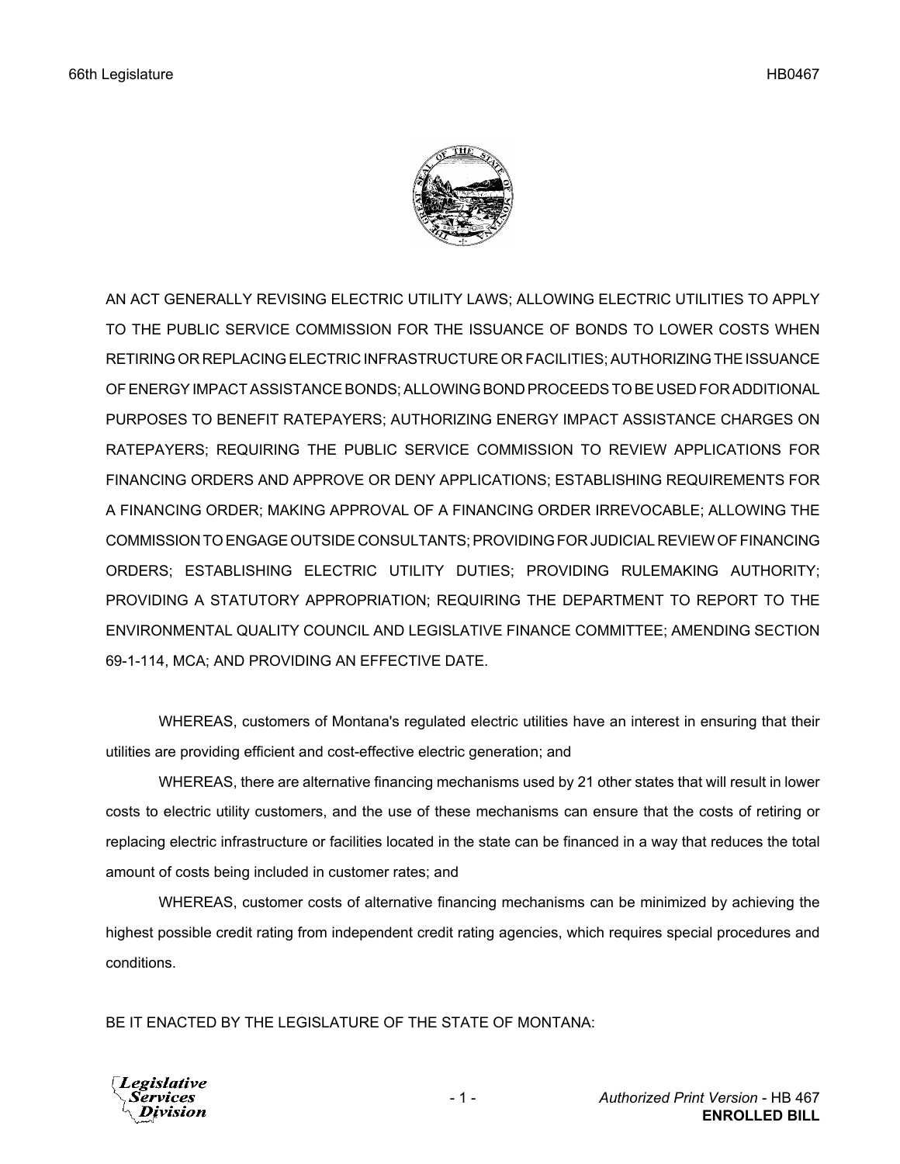

AN ACT GENERALLY REVISING ELECTRIC UTILITY LAWS; ALLOWING ELECTRIC UTILITIES TO APPLY TO THE PUBLIC SERVICE COMMISSION FOR THE ISSUANCE OF BONDS TO LOWER COSTS WHEN RETIRING OR REPLACING ELECTRIC INFRASTRUCTURE OR FACILITIES; AUTHORIZING THE ISSUANCE OF ENERGY IMPACT ASSISTANCE BONDS; ALLOWING BOND PROCEEDS TO BE USED FOR ADDITIONAL PURPOSES TO BENEFIT RATEPAYERS; AUTHORIZING ENERGY IMPACT ASSISTANCE CHARGES ON RATEPAYERS; REQUIRING THE PUBLIC SERVICE COMMISSION TO REVIEW APPLICATIONS FOR FINANCING ORDERS AND APPROVE OR DENY APPLICATIONS; ESTABLISHING REQUIREMENTS FOR A FINANCING ORDER; MAKING APPROVAL OF A FINANCING ORDER IRREVOCABLE; ALLOWING THE COMMISSION TO ENGAGE OUTSIDE CONSULTANTS; PROVIDING FOR JUDICIAL REVIEW OF FINANCING ORDERS; ESTABLISHING ELECTRIC UTILITY DUTIES; PROVIDING RULEMAKING AUTHORITY; PROVIDING A STATUTORY APPROPRIATION; REQUIRING THE DEPARTMENT TO REPORT TO THE ENVIRONMENTAL QUALITY COUNCIL AND LEGISLATIVE FINANCE COMMITTEE; AMENDING SECTION 69-1-114, MCA; AND PROVIDING AN EFFECTIVE DATE.

WHEREAS, customers of Montana's regulated electric utilities have an interest in ensuring that their utilities are providing efficient and cost-effective electric generation; and

WHEREAS, there are alternative financing mechanisms used by 21 other states that will result in lower costs to electric utility customers, and the use of these mechanisms can ensure that the costs of retiring or replacing electric infrastructure or facilities located in the state can be financed in a way that reduces the total amount of costs being included in customer rates; and

WHEREAS, customer costs of alternative financing mechanisms can be minimized by achieving the highest possible credit rating from independent credit rating agencies, which requires special procedures and conditions.

BE IT ENACTED BY THE LEGISLATURE OF THE STATE OF MONTANA:

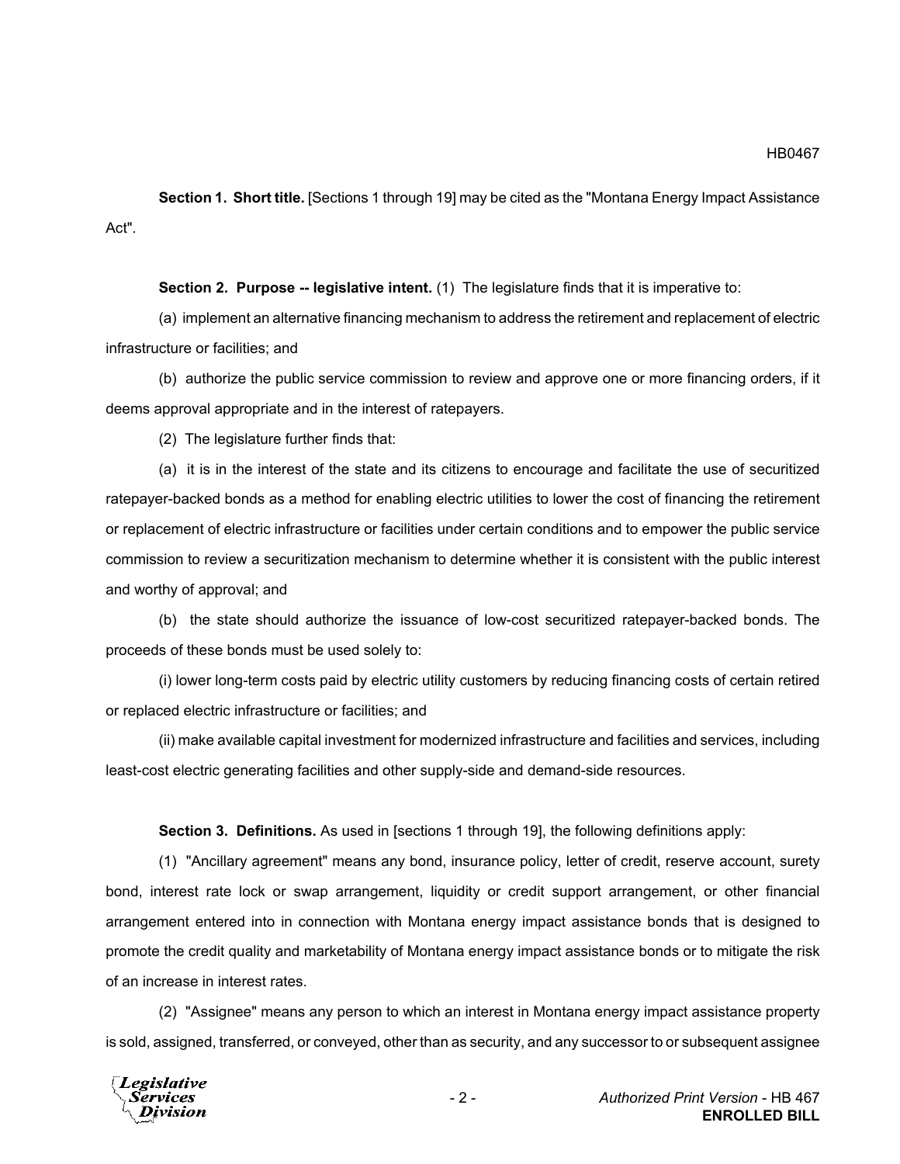**Section 1. Short title.** [Sections 1 through 19] may be cited as the "Montana Energy Impact Assistance Act".

**Section 2. Purpose -- legislative intent.** (1) The legislature finds that it is imperative to:

(a) implement an alternative financing mechanism to address the retirement and replacement of electric infrastructure or facilities; and

(b) authorize the public service commission to review and approve one or more financing orders, if it deems approval appropriate and in the interest of ratepayers.

(2) The legislature further finds that:

(a) it is in the interest of the state and its citizens to encourage and facilitate the use of securitized ratepayer-backed bonds as a method for enabling electric utilities to lower the cost of financing the retirement or replacement of electric infrastructure or facilities under certain conditions and to empower the public service commission to review a securitization mechanism to determine whether it is consistent with the public interest and worthy of approval; and

(b) the state should authorize the issuance of low-cost securitized ratepayer-backed bonds. The proceeds of these bonds must be used solely to:

(i) lower long-term costs paid by electric utility customers by reducing financing costs of certain retired or replaced electric infrastructure or facilities; and

(ii) make available capital investment for modernized infrastructure and facilities and services, including least-cost electric generating facilities and other supply-side and demand-side resources.

**Section 3. Definitions.** As used in [sections 1 through 19], the following definitions apply:

(1) "Ancillary agreement" means any bond, insurance policy, letter of credit, reserve account, surety bond, interest rate lock or swap arrangement, liquidity or credit support arrangement, or other financial arrangement entered into in connection with Montana energy impact assistance bonds that is designed to promote the credit quality and marketability of Montana energy impact assistance bonds or to mitigate the risk of an increase in interest rates.

(2) "Assignee" means any person to which an interest in Montana energy impact assistance property is sold, assigned, transferred, or conveyed, other than as security, and any successor to or subsequent assignee

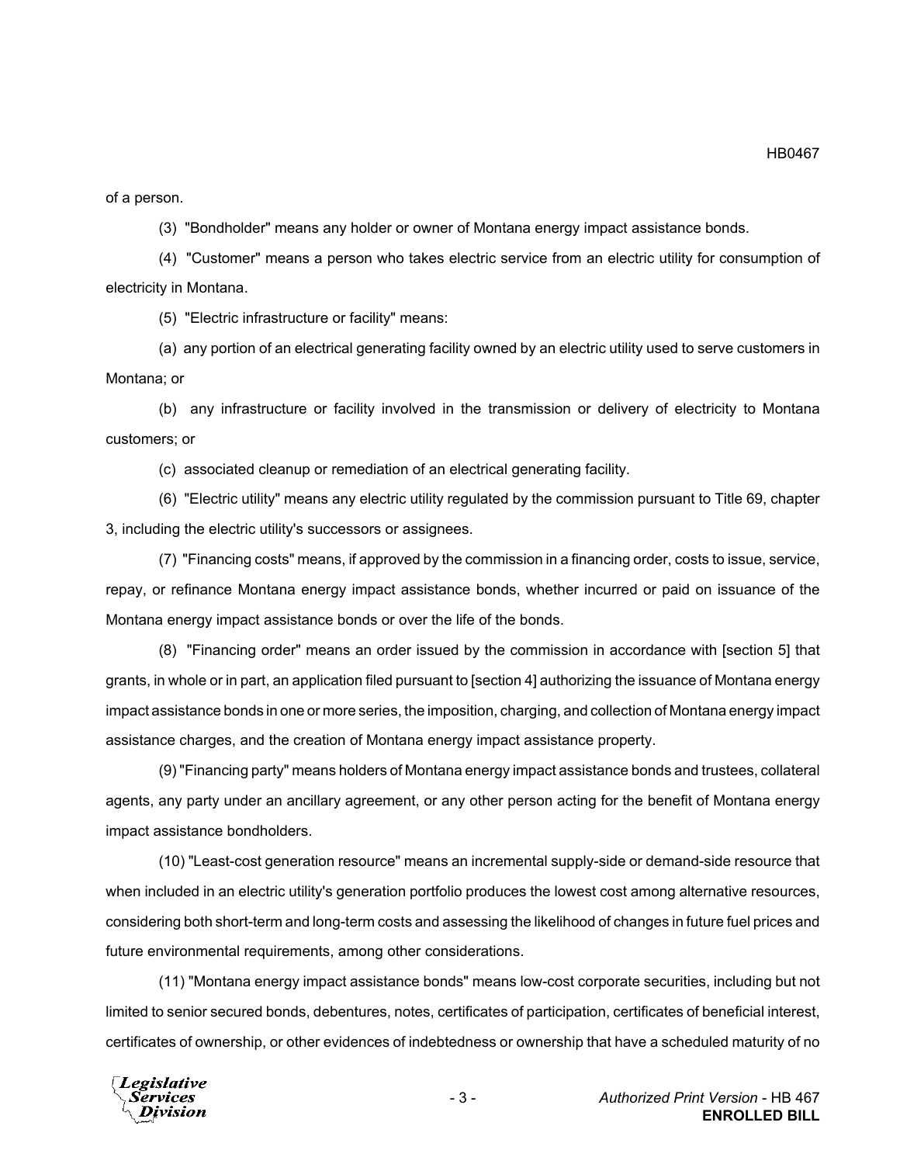of a person.

(3) "Bondholder" means any holder or owner of Montana energy impact assistance bonds.

(4) "Customer" means a person who takes electric service from an electric utility for consumption of electricity in Montana.

(5) "Electric infrastructure or facility" means:

(a) any portion of an electrical generating facility owned by an electric utility used to serve customers in Montana; or

(b) any infrastructure or facility involved in the transmission or delivery of electricity to Montana customers; or

(c) associated cleanup or remediation of an electrical generating facility.

(6) "Electric utility" means any electric utility regulated by the commission pursuant to Title 69, chapter 3, including the electric utility's successors or assignees.

(7) "Financing costs" means, if approved by the commission in a financing order, costs to issue, service, repay, or refinance Montana energy impact assistance bonds, whether incurred or paid on issuance of the Montana energy impact assistance bonds or over the life of the bonds.

(8) "Financing order" means an order issued by the commission in accordance with [section 5] that grants, in whole or in part, an application filed pursuant to [section 4] authorizing the issuance of Montana energy impact assistance bonds in one or more series, the imposition, charging, and collection of Montana energy impact assistance charges, and the creation of Montana energy impact assistance property.

(9) "Financing party" means holders of Montana energy impact assistance bonds and trustees, collateral agents, any party under an ancillary agreement, or any other person acting for the benefit of Montana energy impact assistance bondholders.

(10) "Least-cost generation resource" means an incremental supply-side or demand-side resource that when included in an electric utility's generation portfolio produces the lowest cost among alternative resources, considering both short-term and long-term costs and assessing the likelihood of changes in future fuel prices and future environmental requirements, among other considerations.

(11) "Montana energy impact assistance bonds" means low-cost corporate securities, including but not limited to senior secured bonds, debentures, notes, certificates of participation, certificates of beneficial interest, certificates of ownership, or other evidences of indebtedness or ownership that have a scheduled maturity of no

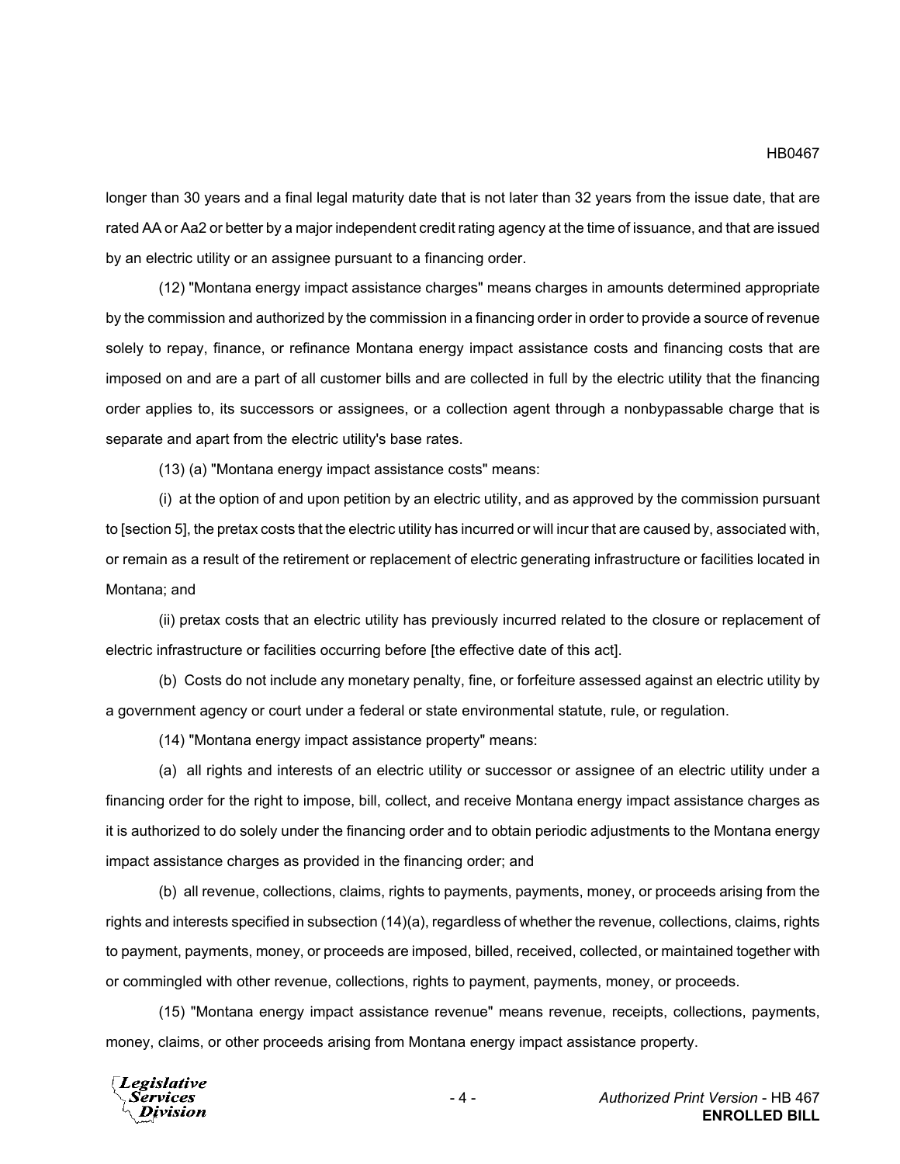longer than 30 years and a final legal maturity date that is not later than 32 years from the issue date, that are rated AA or Aa2 or better by a major independent credit rating agency at the time of issuance, and that are issued by an electric utility or an assignee pursuant to a financing order.

(12) "Montana energy impact assistance charges" means charges in amounts determined appropriate by the commission and authorized by the commission in a financing order in order to provide a source of revenue solely to repay, finance, or refinance Montana energy impact assistance costs and financing costs that are imposed on and are a part of all customer bills and are collected in full by the electric utility that the financing order applies to, its successors or assignees, or a collection agent through a nonbypassable charge that is separate and apart from the electric utility's base rates.

(13) (a) "Montana energy impact assistance costs" means:

(i) at the option of and upon petition by an electric utility, and as approved by the commission pursuant to [section 5], the pretax costs that the electric utility has incurred or will incur that are caused by, associated with, or remain as a result of the retirement or replacement of electric generating infrastructure or facilities located in Montana; and

(ii) pretax costs that an electric utility has previously incurred related to the closure or replacement of electric infrastructure or facilities occurring before [the effective date of this act].

(b) Costs do not include any monetary penalty, fine, or forfeiture assessed against an electric utility by a government agency or court under a federal or state environmental statute, rule, or regulation.

(14) "Montana energy impact assistance property" means:

(a) all rights and interests of an electric utility or successor or assignee of an electric utility under a financing order for the right to impose, bill, collect, and receive Montana energy impact assistance charges as it is authorized to do solely under the financing order and to obtain periodic adjustments to the Montana energy impact assistance charges as provided in the financing order; and

(b) all revenue, collections, claims, rights to payments, payments, money, or proceeds arising from the rights and interests specified in subsection (14)(a), regardless of whether the revenue, collections, claims, rights to payment, payments, money, or proceeds are imposed, billed, received, collected, or maintained together with or commingled with other revenue, collections, rights to payment, payments, money, or proceeds.

(15) "Montana energy impact assistance revenue" means revenue, receipts, collections, payments, money, claims, or other proceeds arising from Montana energy impact assistance property.

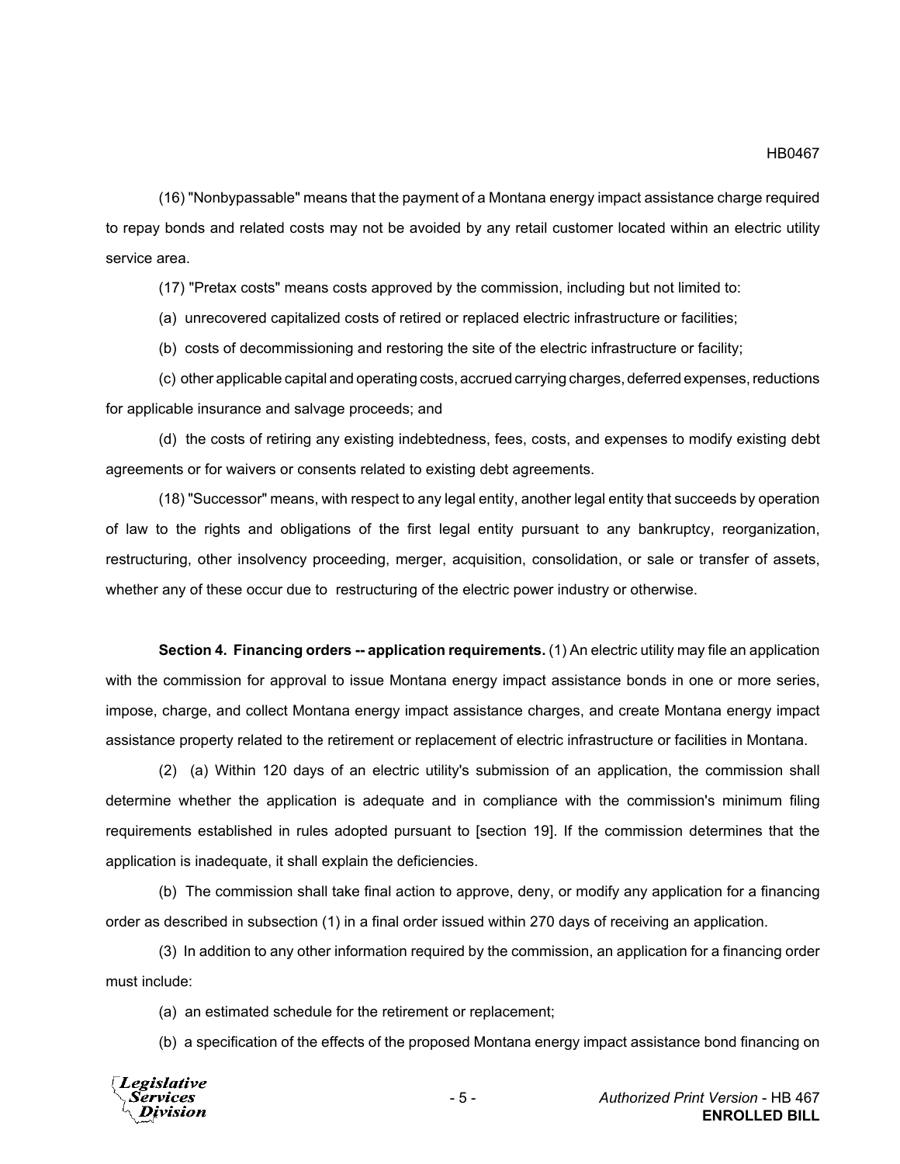(16) "Nonbypassable" means that the payment of a Montana energy impact assistance charge required to repay bonds and related costs may not be avoided by any retail customer located within an electric utility service area.

(17) "Pretax costs" means costs approved by the commission, including but not limited to:

(a) unrecovered capitalized costs of retired or replaced electric infrastructure or facilities;

(b) costs of decommissioning and restoring the site of the electric infrastructure or facility;

(c) other applicable capital and operating costs, accrued carrying charges, deferred expenses, reductions for applicable insurance and salvage proceeds; and

(d) the costs of retiring any existing indebtedness, fees, costs, and expenses to modify existing debt agreements or for waivers or consents related to existing debt agreements.

(18) "Successor" means, with respect to any legal entity, another legal entity that succeeds by operation of law to the rights and obligations of the first legal entity pursuant to any bankruptcy, reorganization, restructuring, other insolvency proceeding, merger, acquisition, consolidation, or sale or transfer of assets, whether any of these occur due to restructuring of the electric power industry or otherwise.

**Section 4. Financing orders -- application requirements.** (1) An electric utility may file an application with the commission for approval to issue Montana energy impact assistance bonds in one or more series, impose, charge, and collect Montana energy impact assistance charges, and create Montana energy impact assistance property related to the retirement or replacement of electric infrastructure or facilities in Montana.

(2) (a) Within 120 days of an electric utility's submission of an application, the commission shall determine whether the application is adequate and in compliance with the commission's minimum filing requirements established in rules adopted pursuant to [section 19]. If the commission determines that the application is inadequate, it shall explain the deficiencies.

(b) The commission shall take final action to approve, deny, or modify any application for a financing order as described in subsection (1) in a final order issued within 270 days of receiving an application.

(3) In addition to any other information required by the commission, an application for a financing order must include:

(a) an estimated schedule for the retirement or replacement;

(b) a specification of the effects of the proposed Montana energy impact assistance bond financing on

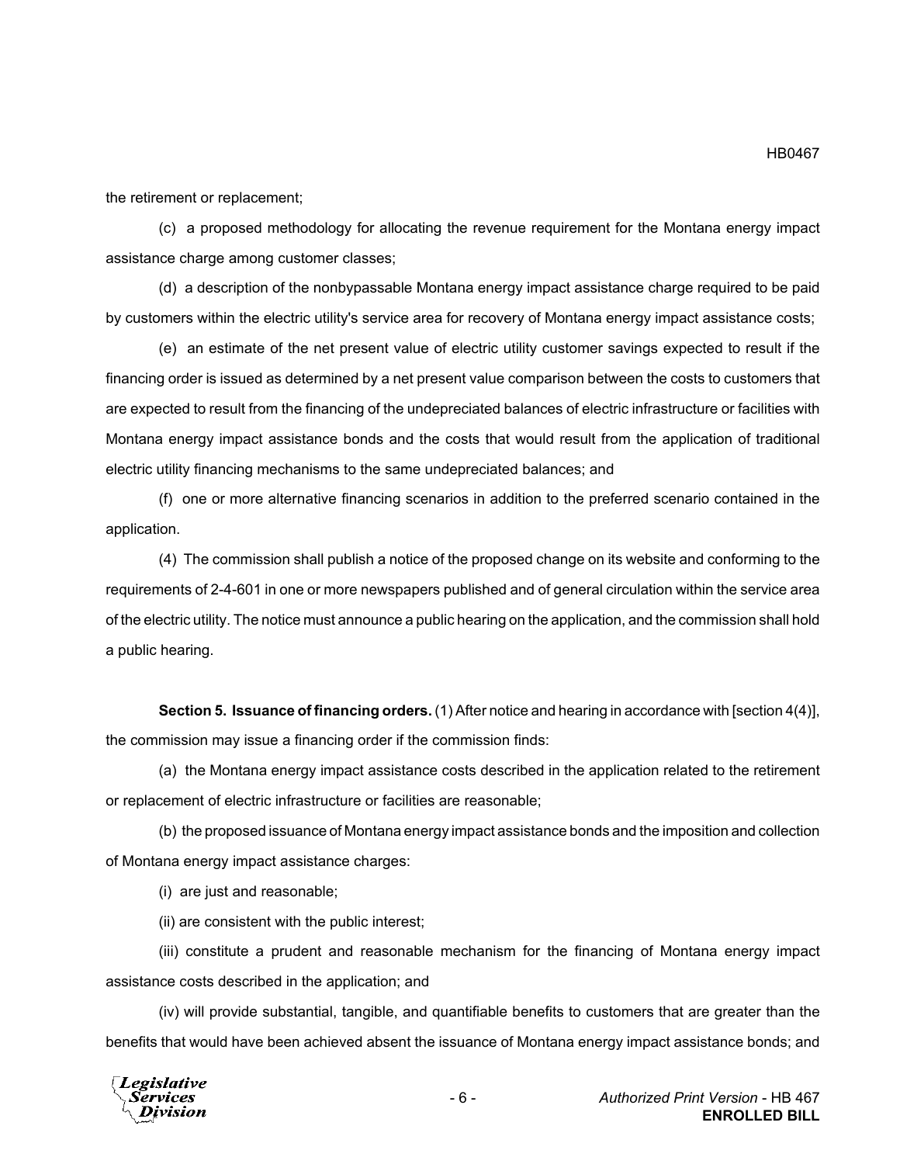the retirement or replacement;

(c) a proposed methodology for allocating the revenue requirement for the Montana energy impact assistance charge among customer classes;

(d) a description of the nonbypassable Montana energy impact assistance charge required to be paid by customers within the electric utility's service area for recovery of Montana energy impact assistance costs;

(e) an estimate of the net present value of electric utility customer savings expected to result if the financing order is issued as determined by a net present value comparison between the costs to customers that are expected to result from the financing of the undepreciated balances of electric infrastructure or facilities with Montana energy impact assistance bonds and the costs that would result from the application of traditional electric utility financing mechanisms to the same undepreciated balances; and

(f) one or more alternative financing scenarios in addition to the preferred scenario contained in the application.

(4) The commission shall publish a notice of the proposed change on its website and conforming to the requirements of 2-4-601 in one or more newspapers published and of general circulation within the service area of the electric utility. The notice must announce a public hearing on the application, and the commission shall hold a public hearing.

**Section 5. Issuance of financing orders.** (1) After notice and hearing in accordance with [section 4(4)], the commission may issue a financing order if the commission finds:

(a) the Montana energy impact assistance costs described in the application related to the retirement or replacement of electric infrastructure or facilities are reasonable;

(b) the proposed issuance of Montana energy impact assistance bonds and the imposition and collection of Montana energy impact assistance charges:

(i) are just and reasonable;

(ii) are consistent with the public interest;

(iii) constitute a prudent and reasonable mechanism for the financing of Montana energy impact assistance costs described in the application; and

(iv) will provide substantial, tangible, and quantifiable benefits to customers that are greater than the benefits that would have been achieved absent the issuance of Montana energy impact assistance bonds; and



HB0467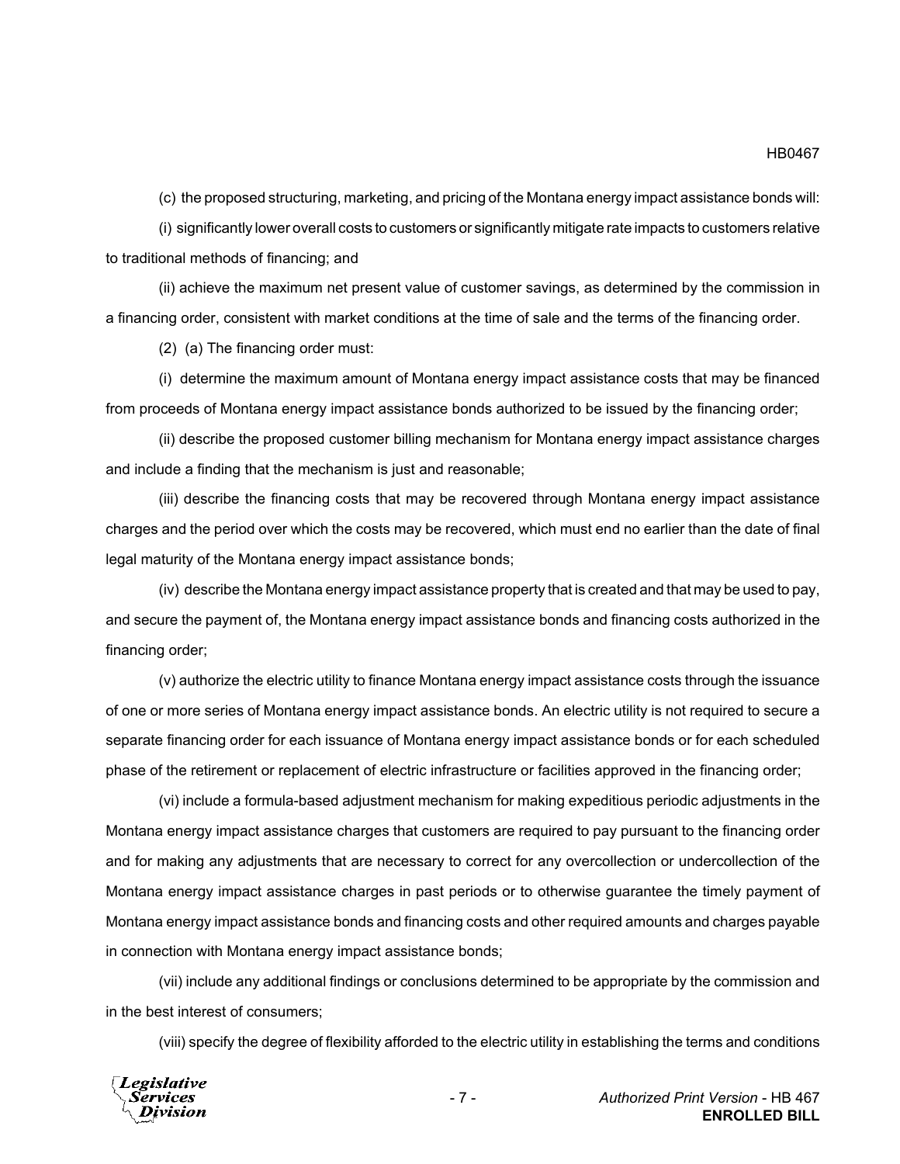(c) the proposed structuring, marketing, and pricing of the Montana energy impact assistance bonds will:

(i) significantly lower overall costs to customers or significantly mitigate rate impacts to customers relative to traditional methods of financing; and

(ii) achieve the maximum net present value of customer savings, as determined by the commission in a financing order, consistent with market conditions at the time of sale and the terms of the financing order.

(2) (a) The financing order must:

(i) determine the maximum amount of Montana energy impact assistance costs that may be financed from proceeds of Montana energy impact assistance bonds authorized to be issued by the financing order;

(ii) describe the proposed customer billing mechanism for Montana energy impact assistance charges and include a finding that the mechanism is just and reasonable;

(iii) describe the financing costs that may be recovered through Montana energy impact assistance charges and the period over which the costs may be recovered, which must end no earlier than the date of final legal maturity of the Montana energy impact assistance bonds;

(iv) describe the Montana energy impact assistance property that is created and that may be used to pay, and secure the payment of, the Montana energy impact assistance bonds and financing costs authorized in the financing order;

(v) authorize the electric utility to finance Montana energy impact assistance costs through the issuance of one or more series of Montana energy impact assistance bonds. An electric utility is not required to secure a separate financing order for each issuance of Montana energy impact assistance bonds or for each scheduled phase of the retirement or replacement of electric infrastructure or facilities approved in the financing order;

(vi) include a formula-based adjustment mechanism for making expeditious periodic adjustments in the Montana energy impact assistance charges that customers are required to pay pursuant to the financing order and for making any adjustments that are necessary to correct for any overcollection or undercollection of the Montana energy impact assistance charges in past periods or to otherwise guarantee the timely payment of Montana energy impact assistance bonds and financing costs and other required amounts and charges payable in connection with Montana energy impact assistance bonds;

(vii) include any additional findings or conclusions determined to be appropriate by the commission and in the best interest of consumers;

(viii) specify the degree of flexibility afforded to the electric utility in establishing the terms and conditions

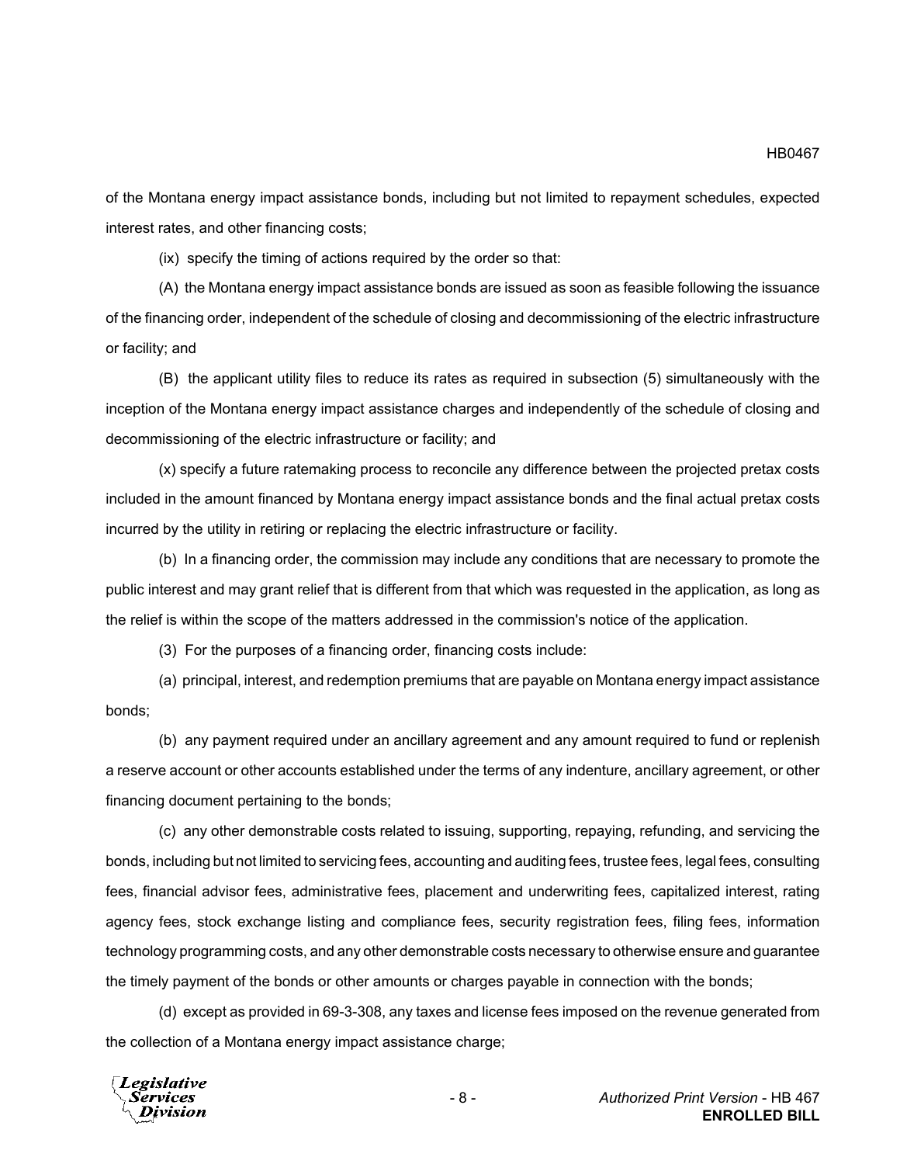of the Montana energy impact assistance bonds, including but not limited to repayment schedules, expected interest rates, and other financing costs;

(ix) specify the timing of actions required by the order so that:

(A) the Montana energy impact assistance bonds are issued as soon as feasible following the issuance of the financing order, independent of the schedule of closing and decommissioning of the electric infrastructure or facility; and

(B) the applicant utility files to reduce its rates as required in subsection (5) simultaneously with the inception of the Montana energy impact assistance charges and independently of the schedule of closing and decommissioning of the electric infrastructure or facility; and

(x) specify a future ratemaking process to reconcile any difference between the projected pretax costs included in the amount financed by Montana energy impact assistance bonds and the final actual pretax costs incurred by the utility in retiring or replacing the electric infrastructure or facility.

(b) In a financing order, the commission may include any conditions that are necessary to promote the public interest and may grant relief that is different from that which was requested in the application, as long as the relief is within the scope of the matters addressed in the commission's notice of the application.

(3) For the purposes of a financing order, financing costs include:

(a) principal, interest, and redemption premiums that are payable on Montana energy impact assistance bonds;

(b) any payment required under an ancillary agreement and any amount required to fund or replenish a reserve account or other accounts established under the terms of any indenture, ancillary agreement, or other financing document pertaining to the bonds;

(c) any other demonstrable costs related to issuing, supporting, repaying, refunding, and servicing the bonds, including but not limited to servicing fees, accounting and auditing fees, trustee fees, legal fees, consulting fees, financial advisor fees, administrative fees, placement and underwriting fees, capitalized interest, rating agency fees, stock exchange listing and compliance fees, security registration fees, filing fees, information technology programming costs, and any other demonstrable costs necessary to otherwise ensure and guarantee the timely payment of the bonds or other amounts or charges payable in connection with the bonds;

(d) except as provided in 69-3-308, any taxes and license fees imposed on the revenue generated from the collection of a Montana energy impact assistance charge;

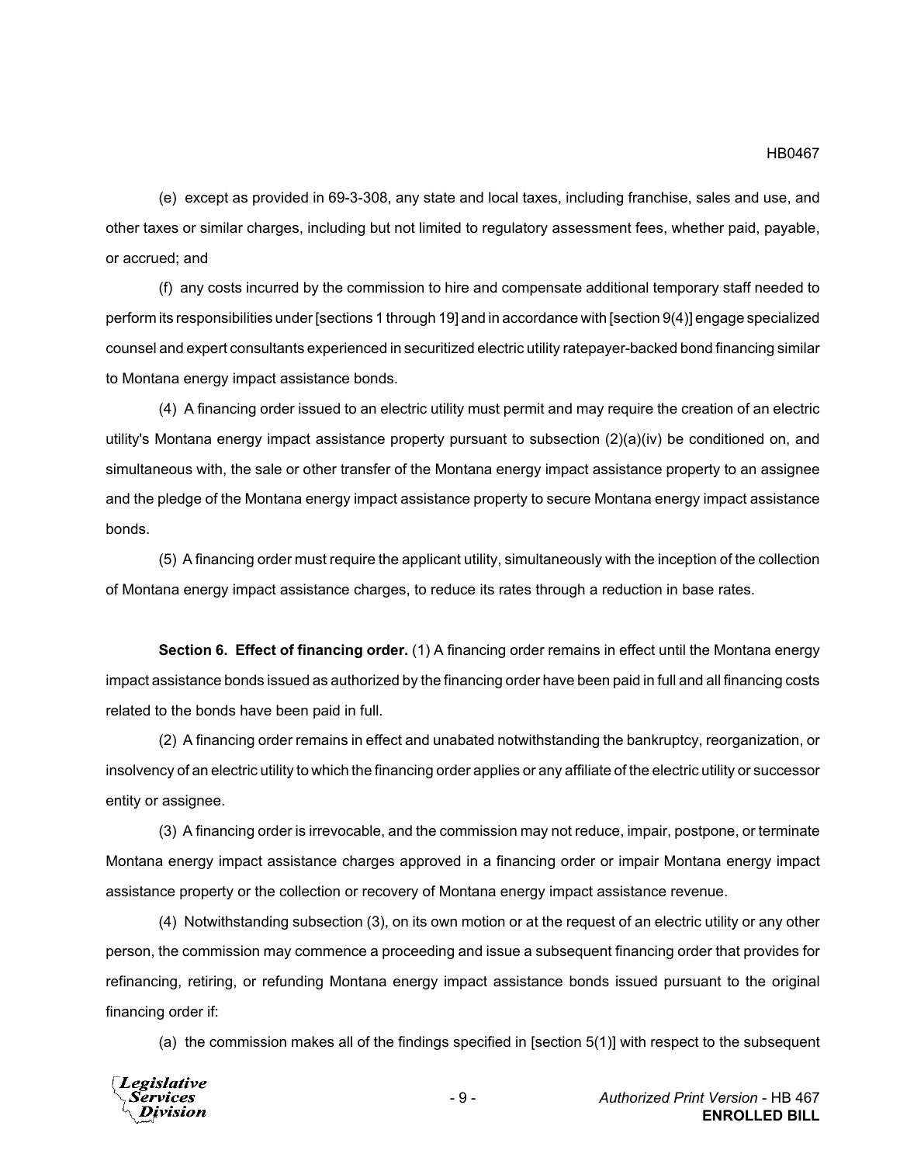(e) except as provided in 69-3-308, any state and local taxes, including franchise, sales and use, and other taxes or similar charges, including but not limited to regulatory assessment fees, whether paid, payable, or accrued; and

(f) any costs incurred by the commission to hire and compensate additional temporary staff needed to perform its responsibilities under [sections 1 through 19] and in accordance with [section 9(4)] engage specialized counsel and expert consultants experienced in securitized electric utility ratepayer-backed bond financing similar to Montana energy impact assistance bonds.

(4) A financing order issued to an electric utility must permit and may require the creation of an electric utility's Montana energy impact assistance property pursuant to subsection (2)(a)(iv) be conditioned on, and simultaneous with, the sale or other transfer of the Montana energy impact assistance property to an assignee and the pledge of the Montana energy impact assistance property to secure Montana energy impact assistance bonds.

(5) A financing order must require the applicant utility, simultaneously with the inception of the collection of Montana energy impact assistance charges, to reduce its rates through a reduction in base rates.

**Section 6. Effect of financing order.** (1) A financing order remains in effect until the Montana energy impact assistance bonds issued as authorized by the financing order have been paid in full and all financing costs related to the bonds have been paid in full.

(2) A financing order remains in effect and unabated notwithstanding the bankruptcy, reorganization, or insolvency of an electric utility to which the financing order applies or any affiliate of the electric utility or successor entity or assignee.

(3) A financing order is irrevocable, and the commission may not reduce, impair, postpone, or terminate Montana energy impact assistance charges approved in a financing order or impair Montana energy impact assistance property or the collection or recovery of Montana energy impact assistance revenue.

(4) Notwithstanding subsection (3), on its own motion or at the request of an electric utility or any other person, the commission may commence a proceeding and issue a subsequent financing order that provides for refinancing, retiring, or refunding Montana energy impact assistance bonds issued pursuant to the original financing order if:

(a) the commission makes all of the findings specified in [section 5(1)] with respect to the subsequent

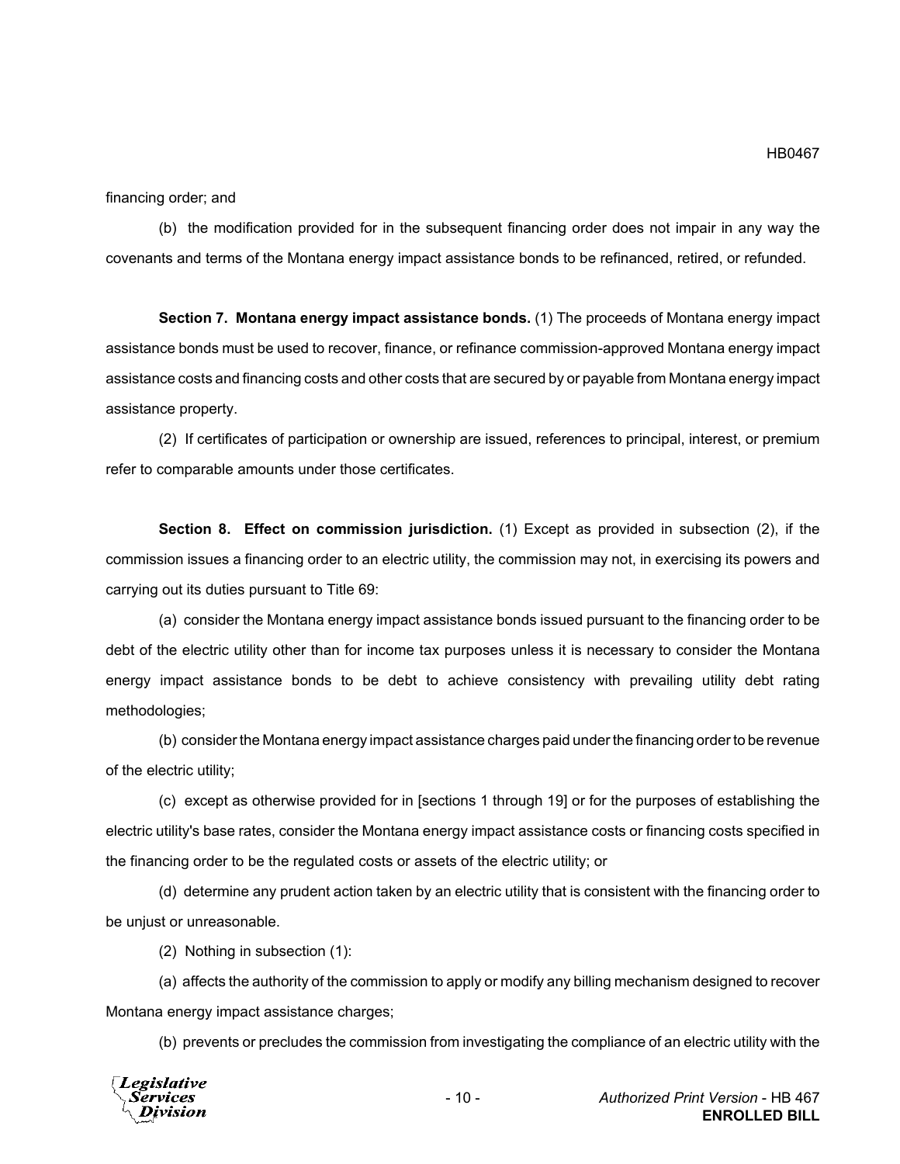financing order; and

(b) the modification provided for in the subsequent financing order does not impair in any way the covenants and terms of the Montana energy impact assistance bonds to be refinanced, retired, or refunded.

**Section 7. Montana energy impact assistance bonds.** (1) The proceeds of Montana energy impact assistance bonds must be used to recover, finance, or refinance commission-approved Montana energy impact assistance costs and financing costs and other costs that are secured by or payable from Montana energy impact assistance property.

(2) If certificates of participation or ownership are issued, references to principal, interest, or premium refer to comparable amounts under those certificates.

**Section 8. Effect on commission jurisdiction.** (1) Except as provided in subsection (2), if the commission issues a financing order to an electric utility, the commission may not, in exercising its powers and carrying out its duties pursuant to Title 69:

(a) consider the Montana energy impact assistance bonds issued pursuant to the financing order to be debt of the electric utility other than for income tax purposes unless it is necessary to consider the Montana energy impact assistance bonds to be debt to achieve consistency with prevailing utility debt rating methodologies;

(b) consider the Montana energy impact assistance charges paid under the financing order to be revenue of the electric utility;

(c) except as otherwise provided for in [sections 1 through 19] or for the purposes of establishing the electric utility's base rates, consider the Montana energy impact assistance costs or financing costs specified in the financing order to be the regulated costs or assets of the electric utility; or

(d) determine any prudent action taken by an electric utility that is consistent with the financing order to be unjust or unreasonable.

(2) Nothing in subsection (1):

(a) affects the authority of the commission to apply or modify any billing mechanism designed to recover Montana energy impact assistance charges;

(b) prevents or precludes the commission from investigating the compliance of an electric utility with the

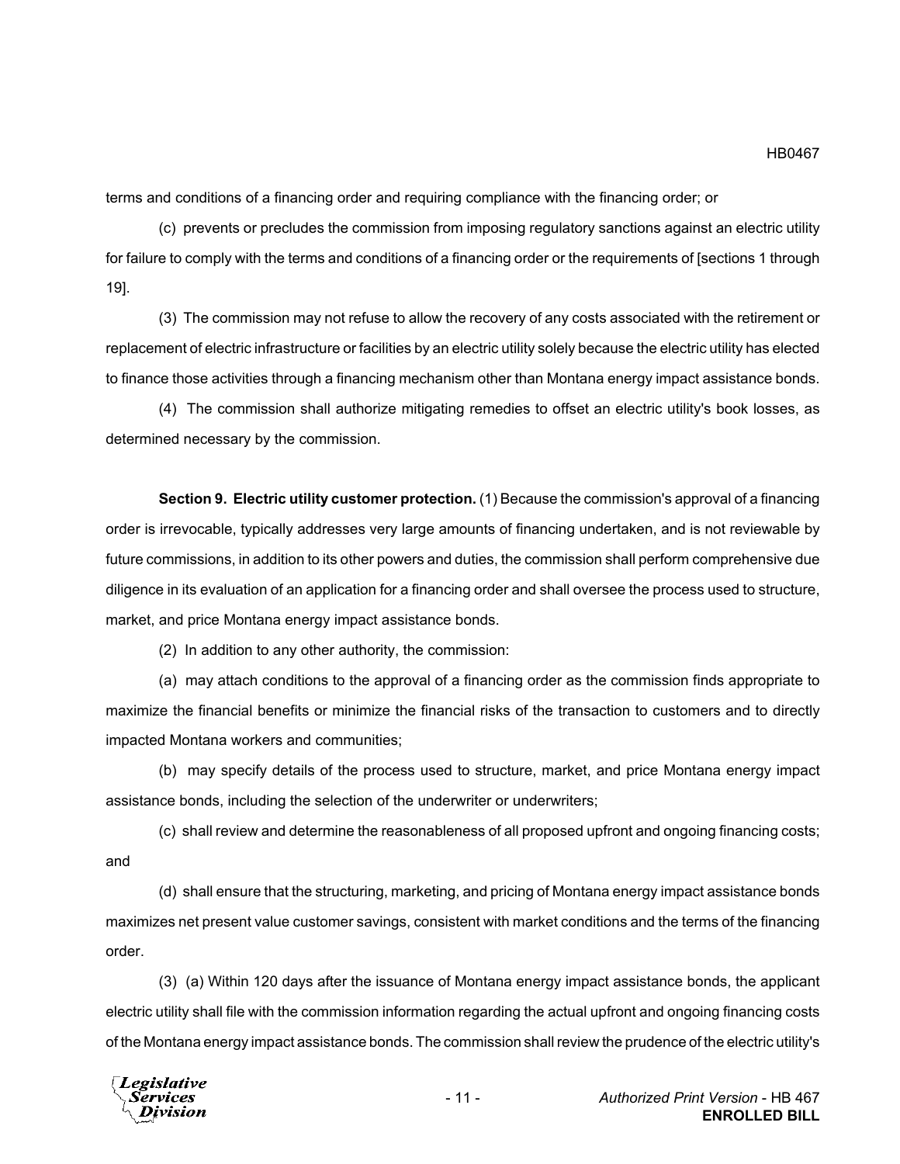terms and conditions of a financing order and requiring compliance with the financing order; or

(c) prevents or precludes the commission from imposing regulatory sanctions against an electric utility for failure to comply with the terms and conditions of a financing order or the requirements of [sections 1 through 19].

(3) The commission may not refuse to allow the recovery of any costs associated with the retirement or replacement of electric infrastructure or facilities by an electric utility solely because the electric utility has elected to finance those activities through a financing mechanism other than Montana energy impact assistance bonds.

(4) The commission shall authorize mitigating remedies to offset an electric utility's book losses, as determined necessary by the commission.

**Section 9. Electric utility customer protection.** (1) Because the commission's approval of a financing order is irrevocable, typically addresses very large amounts of financing undertaken, and is not reviewable by future commissions, in addition to its other powers and duties, the commission shall perform comprehensive due diligence in its evaluation of an application for a financing order and shall oversee the process used to structure, market, and price Montana energy impact assistance bonds.

(2) In addition to any other authority, the commission:

(a) may attach conditions to the approval of a financing order as the commission finds appropriate to maximize the financial benefits or minimize the financial risks of the transaction to customers and to directly impacted Montana workers and communities;

(b) may specify details of the process used to structure, market, and price Montana energy impact assistance bonds, including the selection of the underwriter or underwriters;

(c) shall review and determine the reasonableness of all proposed upfront and ongoing financing costs; and

(d) shall ensure that the structuring, marketing, and pricing of Montana energy impact assistance bonds maximizes net present value customer savings, consistent with market conditions and the terms of the financing order.

(3) (a) Within 120 days after the issuance of Montana energy impact assistance bonds, the applicant electric utility shall file with the commission information regarding the actual upfront and ongoing financing costs of the Montana energy impact assistance bonds. The commission shall review the prudence of the electric utility's

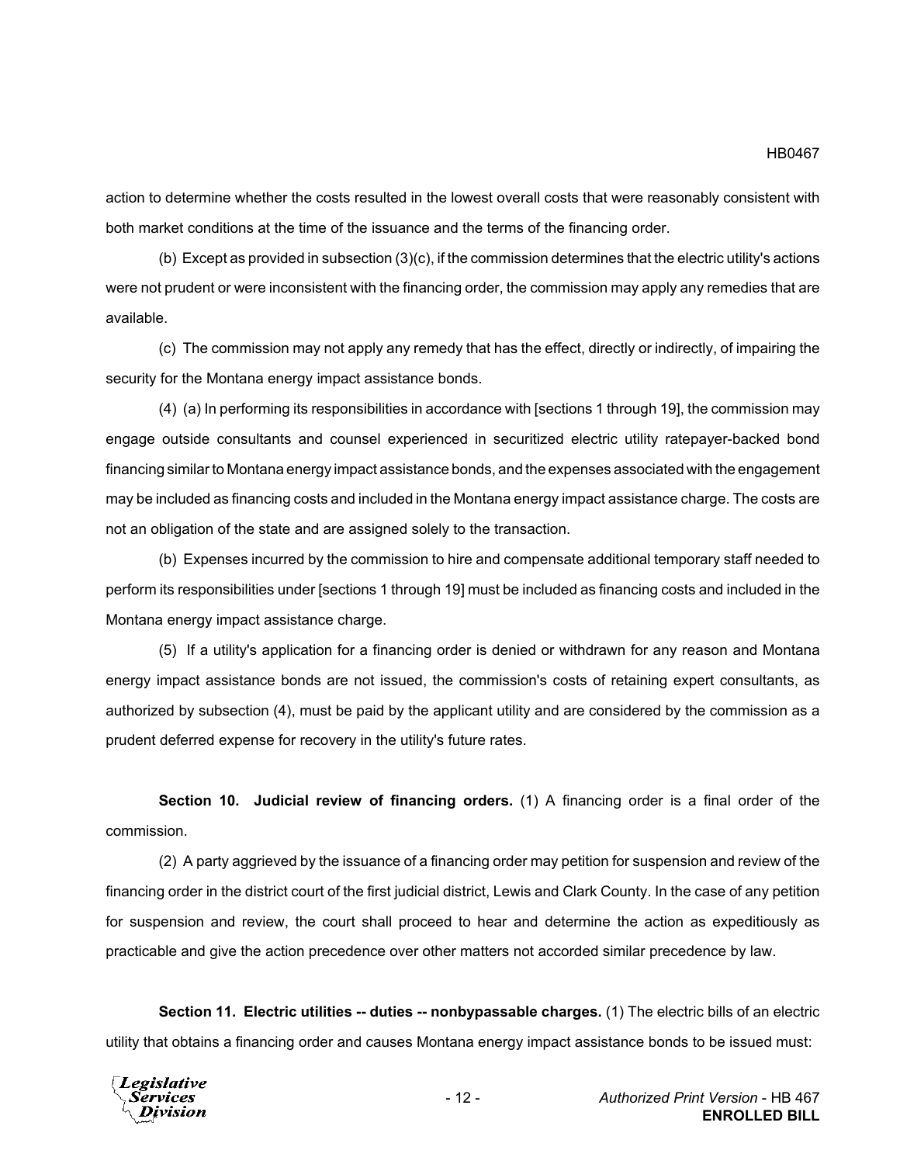action to determine whether the costs resulted in the lowest overall costs that were reasonably consistent with both market conditions at the time of the issuance and the terms of the financing order.

(b) Except as provided in subsection (3)(c), if the commission determines that the electric utility's actions were not prudent or were inconsistent with the financing order, the commission may apply any remedies that are available.

(c) The commission may not apply any remedy that has the effect, directly or indirectly, of impairing the security for the Montana energy impact assistance bonds.

(4) (a) In performing its responsibilities in accordance with [sections 1 through 19], the commission may engage outside consultants and counsel experienced in securitized electric utility ratepayer-backed bond financing similar to Montana energy impact assistance bonds, and the expenses associated with the engagement may be included as financing costs and included in the Montana energy impact assistance charge. The costs are not an obligation of the state and are assigned solely to the transaction.

(b) Expenses incurred by the commission to hire and compensate additional temporary staff needed to perform its responsibilities under [sections 1 through 19] must be included as financing costs and included in the Montana energy impact assistance charge.

(5) If a utility's application for a financing order is denied or withdrawn for any reason and Montana energy impact assistance bonds are not issued, the commission's costs of retaining expert consultants, as authorized by subsection (4), must be paid by the applicant utility and are considered by the commission as a prudent deferred expense for recovery in the utility's future rates.

**Section 10. Judicial review of financing orders.** (1) A financing order is a final order of the commission.

(2) A party aggrieved by the issuance of a financing order may petition for suspension and review of the financing order in the district court of the first judicial district, Lewis and Clark County. In the case of any petition for suspension and review, the court shall proceed to hear and determine the action as expeditiously as practicable and give the action precedence over other matters not accorded similar precedence by law.

**Section 11. Electric utilities -- duties -- nonbypassable charges.** (1) The electric bills of an electric utility that obtains a financing order and causes Montana energy impact assistance bonds to be issued must:

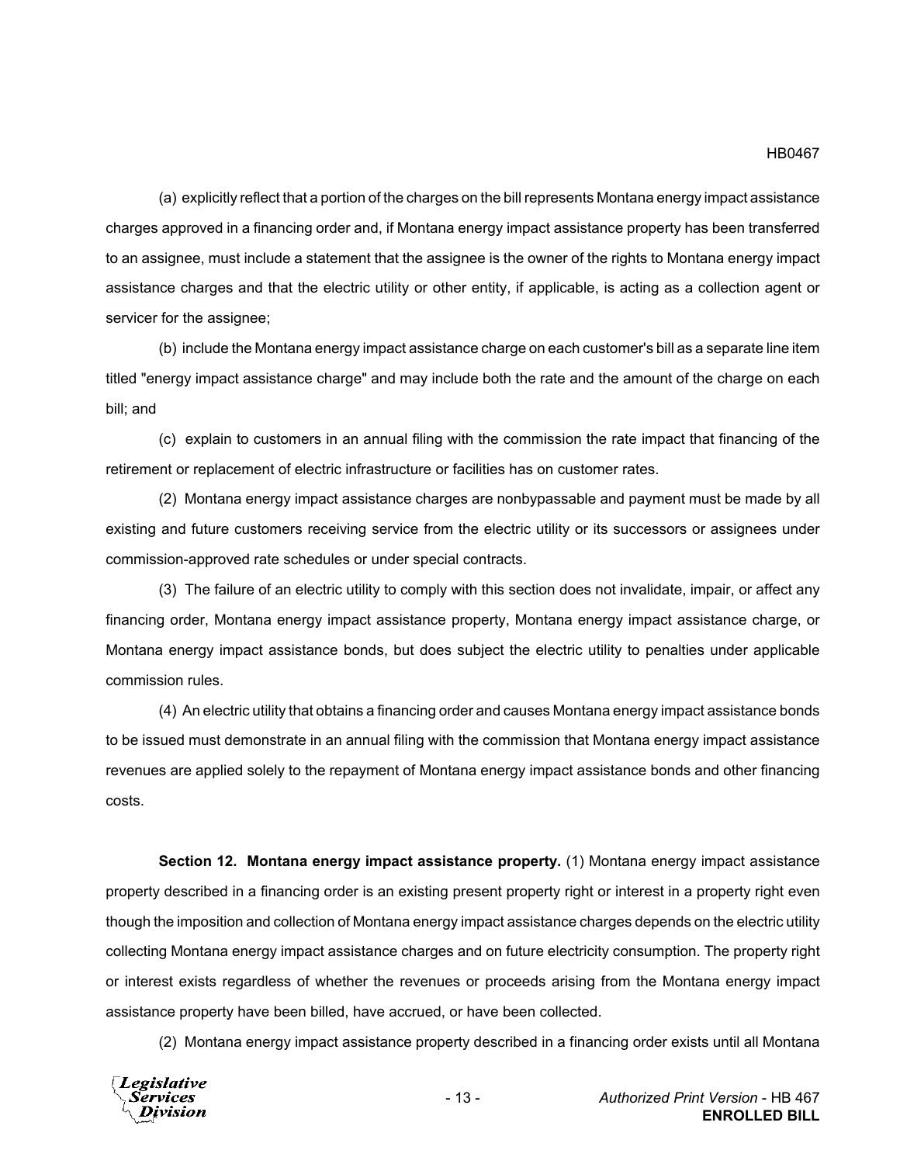### HB0467

(a) explicitly reflect that a portion of the charges on the bill represents Montana energy impact assistance charges approved in a financing order and, if Montana energy impact assistance property has been transferred to an assignee, must include a statement that the assignee is the owner of the rights to Montana energy impact assistance charges and that the electric utility or other entity, if applicable, is acting as a collection agent or servicer for the assignee;

(b) include the Montana energy impact assistance charge on each customer's bill as a separate line item titled "energy impact assistance charge" and may include both the rate and the amount of the charge on each bill; and

(c) explain to customers in an annual filing with the commission the rate impact that financing of the retirement or replacement of electric infrastructure or facilities has on customer rates.

(2) Montana energy impact assistance charges are nonbypassable and payment must be made by all existing and future customers receiving service from the electric utility or its successors or assignees under commission-approved rate schedules or under special contracts.

(3) The failure of an electric utility to comply with this section does not invalidate, impair, or affect any financing order, Montana energy impact assistance property, Montana energy impact assistance charge, or Montana energy impact assistance bonds, but does subject the electric utility to penalties under applicable commission rules.

(4) An electric utility that obtains a financing order and causes Montana energy impact assistance bonds to be issued must demonstrate in an annual filing with the commission that Montana energy impact assistance revenues are applied solely to the repayment of Montana energy impact assistance bonds and other financing costs.

**Section 12. Montana energy impact assistance property.** (1) Montana energy impact assistance property described in a financing order is an existing present property right or interest in a property right even though the imposition and collection of Montana energy impact assistance charges depends on the electric utility collecting Montana energy impact assistance charges and on future electricity consumption. The property right or interest exists regardless of whether the revenues or proceeds arising from the Montana energy impact assistance property have been billed, have accrued, or have been collected.

(2) Montana energy impact assistance property described in a financing order exists until all Montana

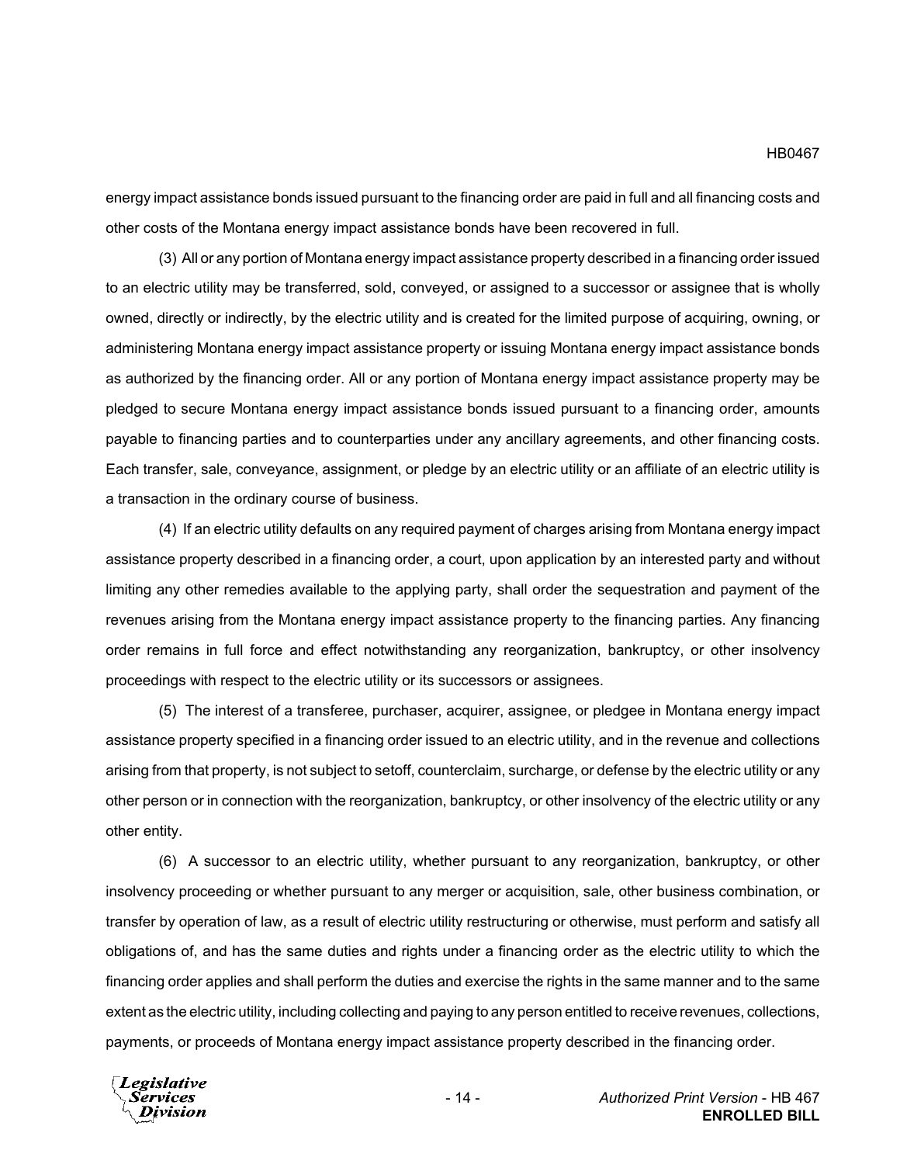energy impact assistance bonds issued pursuant to the financing order are paid in full and all financing costs and other costs of the Montana energy impact assistance bonds have been recovered in full.

(3) All or any portion of Montana energy impact assistance property described in a financing order issued to an electric utility may be transferred, sold, conveyed, or assigned to a successor or assignee that is wholly owned, directly or indirectly, by the electric utility and is created for the limited purpose of acquiring, owning, or administering Montana energy impact assistance property or issuing Montana energy impact assistance bonds as authorized by the financing order. All or any portion of Montana energy impact assistance property may be pledged to secure Montana energy impact assistance bonds issued pursuant to a financing order, amounts payable to financing parties and to counterparties under any ancillary agreements, and other financing costs. Each transfer, sale, conveyance, assignment, or pledge by an electric utility or an affiliate of an electric utility is a transaction in the ordinary course of business.

(4) If an electric utility defaults on any required payment of charges arising from Montana energy impact assistance property described in a financing order, a court, upon application by an interested party and without limiting any other remedies available to the applying party, shall order the sequestration and payment of the revenues arising from the Montana energy impact assistance property to the financing parties. Any financing order remains in full force and effect notwithstanding any reorganization, bankruptcy, or other insolvency proceedings with respect to the electric utility or its successors or assignees.

(5) The interest of a transferee, purchaser, acquirer, assignee, or pledgee in Montana energy impact assistance property specified in a financing order issued to an electric utility, and in the revenue and collections arising from that property, is not subject to setoff, counterclaim, surcharge, or defense by the electric utility or any other person or in connection with the reorganization, bankruptcy, or other insolvency of the electric utility or any other entity.

(6) A successor to an electric utility, whether pursuant to any reorganization, bankruptcy, or other insolvency proceeding or whether pursuant to any merger or acquisition, sale, other business combination, or transfer by operation of law, as a result of electric utility restructuring or otherwise, must perform and satisfy all obligations of, and has the same duties and rights under a financing order as the electric utility to which the financing order applies and shall perform the duties and exercise the rights in the same manner and to the same extent as the electric utility, including collecting and paying to any person entitled to receive revenues, collections, payments, or proceeds of Montana energy impact assistance property described in the financing order.

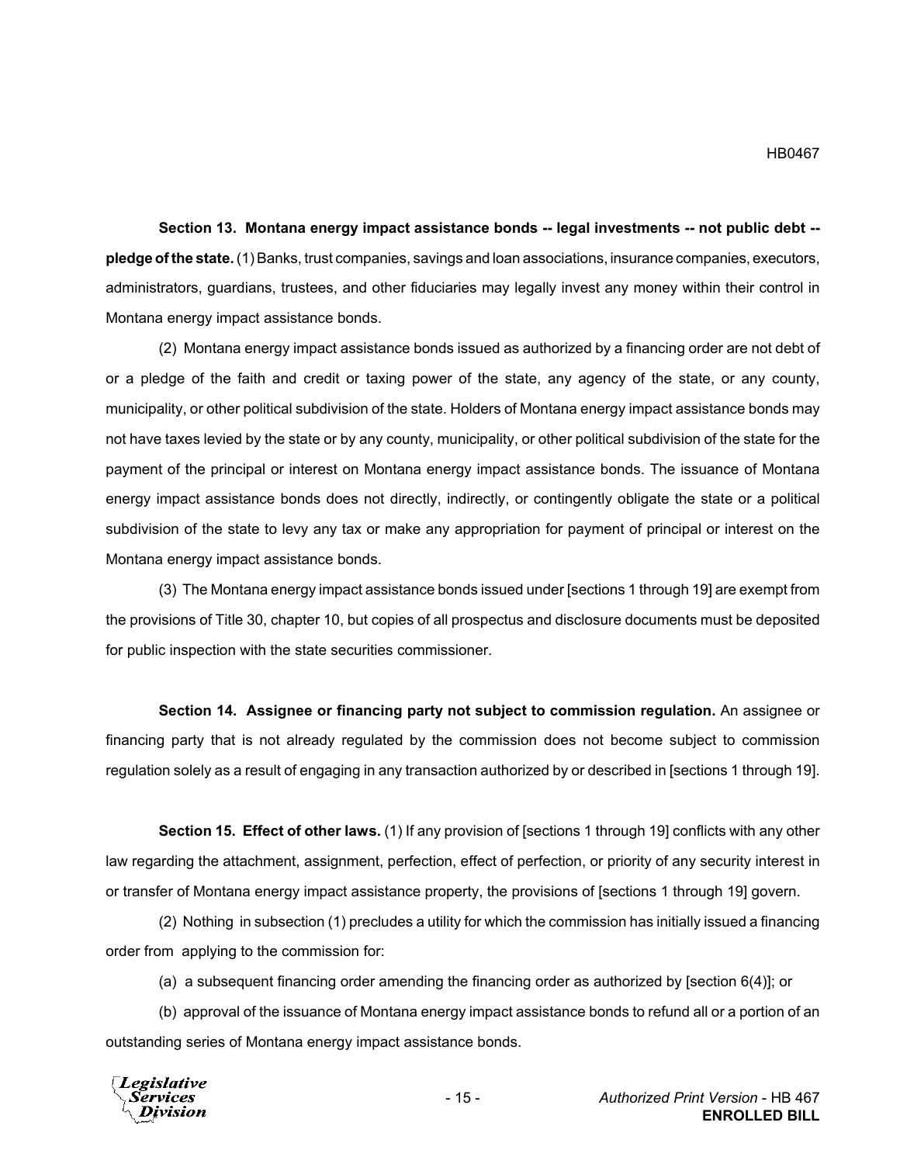**Section 13. Montana energy impact assistance bonds -- legal investments -- not public debt - pledge of the state.** (1) Banks, trust companies, savings and loan associations, insurance companies, executors, administrators, guardians, trustees, and other fiduciaries may legally invest any money within their control in Montana energy impact assistance bonds.

(2) Montana energy impact assistance bonds issued as authorized by a financing order are not debt of or a pledge of the faith and credit or taxing power of the state, any agency of the state, or any county, municipality, or other political subdivision of the state. Holders of Montana energy impact assistance bonds may not have taxes levied by the state or by any county, municipality, or other political subdivision of the state for the payment of the principal or interest on Montana energy impact assistance bonds. The issuance of Montana energy impact assistance bonds does not directly, indirectly, or contingently obligate the state or a political subdivision of the state to levy any tax or make any appropriation for payment of principal or interest on the Montana energy impact assistance bonds.

(3) The Montana energy impact assistance bonds issued under [sections 1 through 19] are exempt from the provisions of Title 30, chapter 10, but copies of all prospectus and disclosure documents must be deposited for public inspection with the state securities commissioner.

**Section 14. Assignee or financing party not subject to commission regulation.** An assignee or financing party that is not already regulated by the commission does not become subject to commission regulation solely as a result of engaging in any transaction authorized by or described in [sections 1 through 19].

**Section 15. Effect of other laws.** (1) If any provision of [sections 1 through 19] conflicts with any other law regarding the attachment, assignment, perfection, effect of perfection, or priority of any security interest in or transfer of Montana energy impact assistance property, the provisions of [sections 1 through 19] govern.

(2) Nothing in subsection (1) precludes a utility for which the commission has initially issued a financing order from applying to the commission for:

(a) a subsequent financing order amending the financing order as authorized by [section 6(4)]; or

(b) approval of the issuance of Montana energy impact assistance bonds to refund all or a portion of an outstanding series of Montana energy impact assistance bonds.

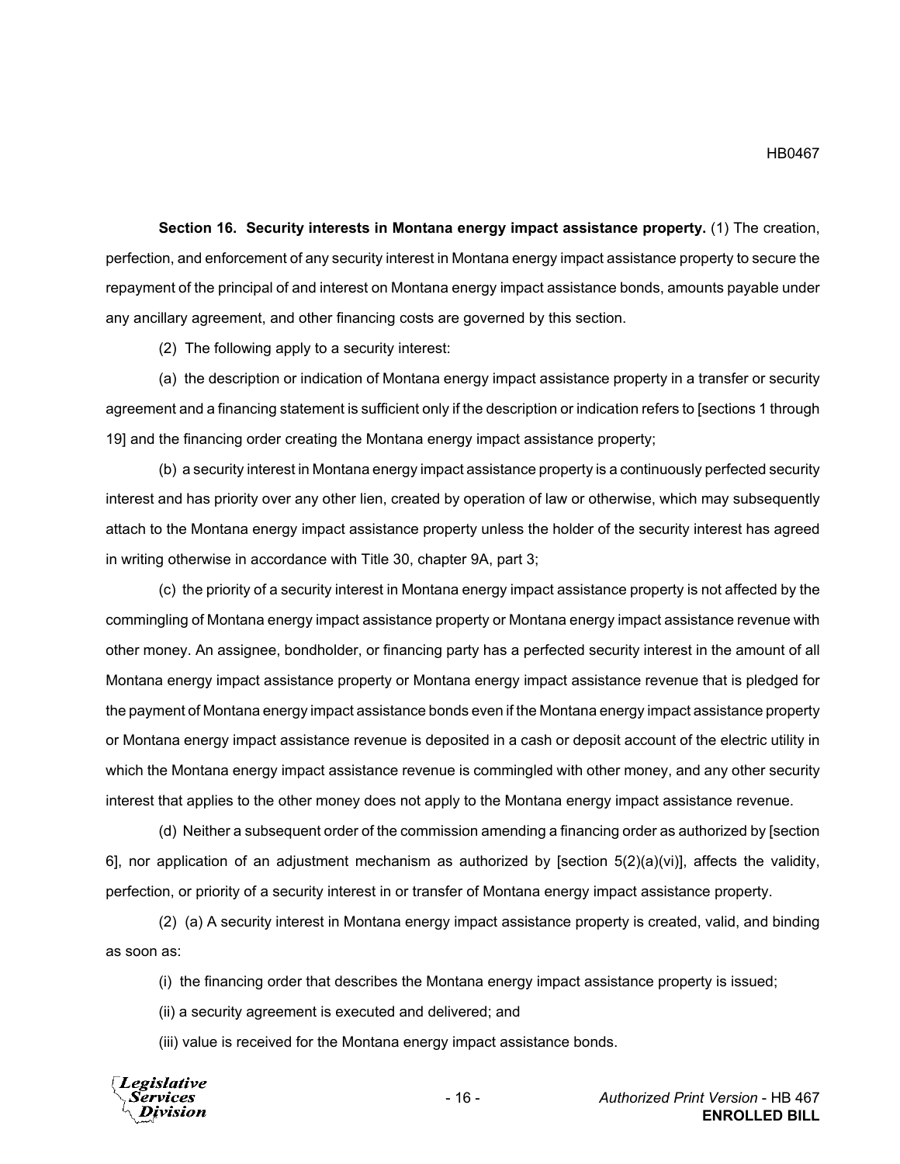**Section 16. Security interests in Montana energy impact assistance property.** (1) The creation, perfection, and enforcement of any security interest in Montana energy impact assistance property to secure the repayment of the principal of and interest on Montana energy impact assistance bonds, amounts payable under any ancillary agreement, and other financing costs are governed by this section.

(2) The following apply to a security interest:

(a) the description or indication of Montana energy impact assistance property in a transfer or security agreement and a financing statement is sufficient only if the description or indication refers to [sections 1 through 19] and the financing order creating the Montana energy impact assistance property;

(b) a security interest in Montana energy impact assistance property is a continuously perfected security interest and has priority over any other lien, created by operation of law or otherwise, which may subsequently attach to the Montana energy impact assistance property unless the holder of the security interest has agreed in writing otherwise in accordance with Title 30, chapter 9A, part 3;

(c) the priority of a security interest in Montana energy impact assistance property is not affected by the commingling of Montana energy impact assistance property or Montana energy impact assistance revenue with other money. An assignee, bondholder, or financing party has a perfected security interest in the amount of all Montana energy impact assistance property or Montana energy impact assistance revenue that is pledged for the payment of Montana energy impact assistance bonds even if the Montana energy impact assistance property or Montana energy impact assistance revenue is deposited in a cash or deposit account of the electric utility in which the Montana energy impact assistance revenue is commingled with other money, and any other security interest that applies to the other money does not apply to the Montana energy impact assistance revenue.

(d) Neither a subsequent order of the commission amending a financing order as authorized by [section 6], nor application of an adjustment mechanism as authorized by [section  $5(2)(a)(vi)$ ], affects the validity, perfection, or priority of a security interest in or transfer of Montana energy impact assistance property.

(2) (a) A security interest in Montana energy impact assistance property is created, valid, and binding as soon as:

(i) the financing order that describes the Montana energy impact assistance property is issued;

(ii) a security agreement is executed and delivered; and

(iii) value is received for the Montana energy impact assistance bonds.



- 16 - *Authorized Print Version* - HB 467 **ENROLLED BILL**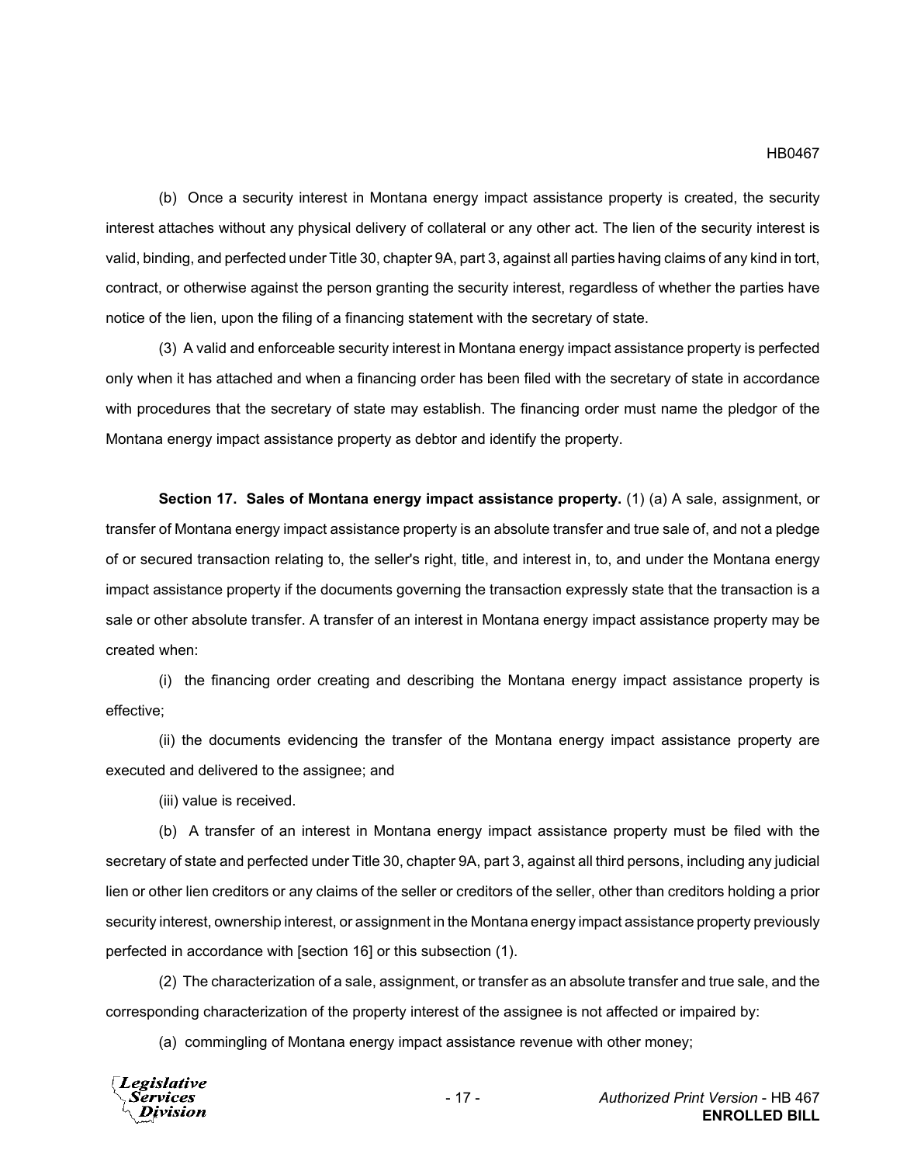(b) Once a security interest in Montana energy impact assistance property is created, the security interest attaches without any physical delivery of collateral or any other act. The lien of the security interest is valid, binding, and perfected under Title 30, chapter 9A, part 3, against all parties having claims of any kind in tort, contract, or otherwise against the person granting the security interest, regardless of whether the parties have notice of the lien, upon the filing of a financing statement with the secretary of state.

(3) A valid and enforceable security interest in Montana energy impact assistance property is perfected only when it has attached and when a financing order has been filed with the secretary of state in accordance with procedures that the secretary of state may establish. The financing order must name the pledgor of the Montana energy impact assistance property as debtor and identify the property.

**Section 17. Sales of Montana energy impact assistance property.** (1) (a) A sale, assignment, or transfer of Montana energy impact assistance property is an absolute transfer and true sale of, and not a pledge of or secured transaction relating to, the seller's right, title, and interest in, to, and under the Montana energy impact assistance property if the documents governing the transaction expressly state that the transaction is a sale or other absolute transfer. A transfer of an interest in Montana energy impact assistance property may be created when:

(i) the financing order creating and describing the Montana energy impact assistance property is effective;

(ii) the documents evidencing the transfer of the Montana energy impact assistance property are executed and delivered to the assignee; and

(iii) value is received.

(b) A transfer of an interest in Montana energy impact assistance property must be filed with the secretary of state and perfected under Title 30, chapter 9A, part 3, against all third persons, including any judicial lien or other lien creditors or any claims of the seller or creditors of the seller, other than creditors holding a prior security interest, ownership interest, or assignment in the Montana energy impact assistance property previously perfected in accordance with [section 16] or this subsection (1).

(2) The characterization of a sale, assignment, or transfer as an absolute transfer and true sale, and the corresponding characterization of the property interest of the assignee is not affected or impaired by:

(a) commingling of Montana energy impact assistance revenue with other money;

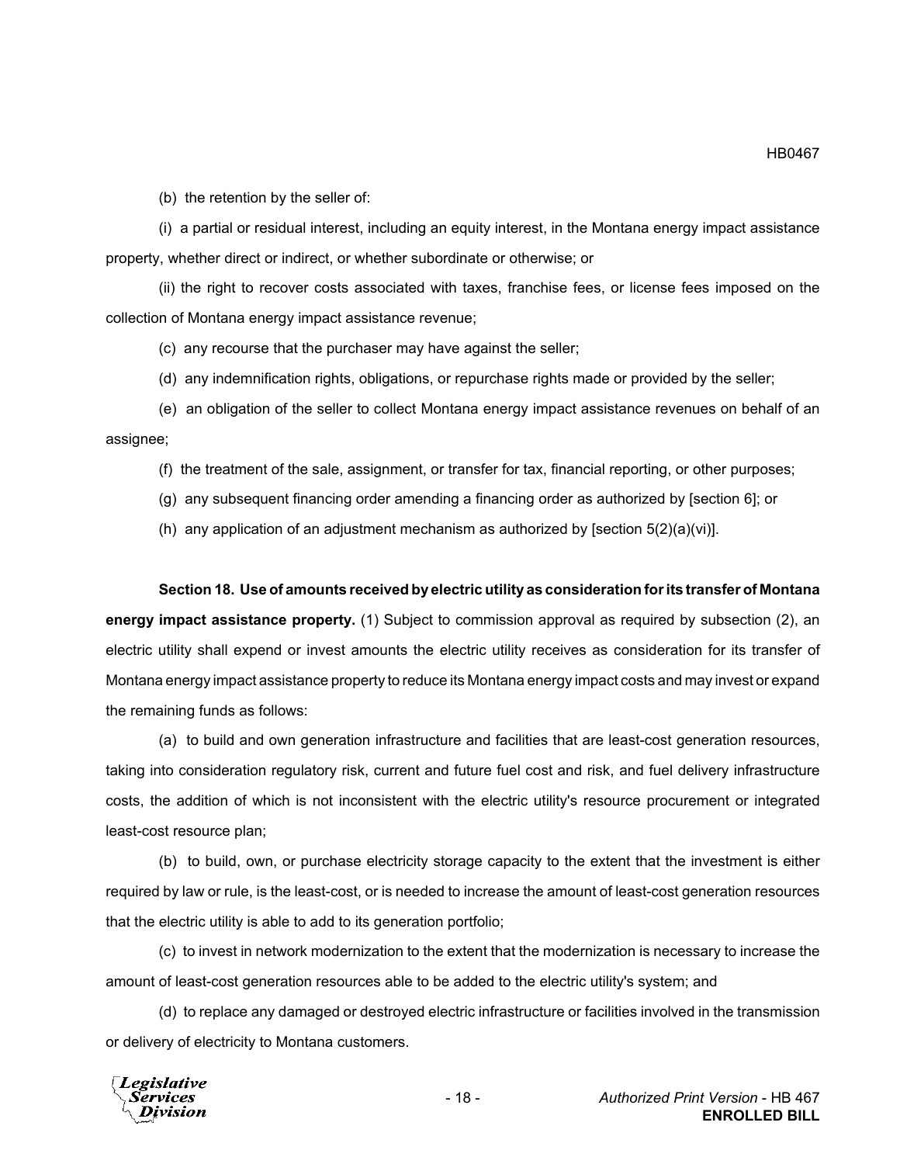(b) the retention by the seller of:

(i) a partial or residual interest, including an equity interest, in the Montana energy impact assistance property, whether direct or indirect, or whether subordinate or otherwise; or

(ii) the right to recover costs associated with taxes, franchise fees, or license fees imposed on the collection of Montana energy impact assistance revenue;

(c) any recourse that the purchaser may have against the seller;

(d) any indemnification rights, obligations, or repurchase rights made or provided by the seller;

(e) an obligation of the seller to collect Montana energy impact assistance revenues on behalf of an assignee;

(f) the treatment of the sale, assignment, or transfer for tax, financial reporting, or other purposes;

(g) any subsequent financing order amending a financing order as authorized by [section 6]; or

(h) any application of an adjustment mechanism as authorized by [section  $5(2)(a)(vi)$ ].

#### **Section 18. Use of amounts received by electric utility as consideration for its transfer of Montana**

**energy impact assistance property.** (1) Subject to commission approval as required by subsection (2), an electric utility shall expend or invest amounts the electric utility receives as consideration for its transfer of Montana energy impact assistance property to reduce its Montana energy impact costs and may invest or expand the remaining funds as follows:

(a) to build and own generation infrastructure and facilities that are least-cost generation resources, taking into consideration regulatory risk, current and future fuel cost and risk, and fuel delivery infrastructure costs, the addition of which is not inconsistent with the electric utility's resource procurement or integrated least-cost resource plan;

(b) to build, own, or purchase electricity storage capacity to the extent that the investment is either required by law or rule, is the least-cost, or is needed to increase the amount of least-cost generation resources that the electric utility is able to add to its generation portfolio;

(c) to invest in network modernization to the extent that the modernization is necessary to increase the amount of least-cost generation resources able to be added to the electric utility's system; and

(d) to replace any damaged or destroyed electric infrastructure or facilities involved in the transmission or delivery of electricity to Montana customers.

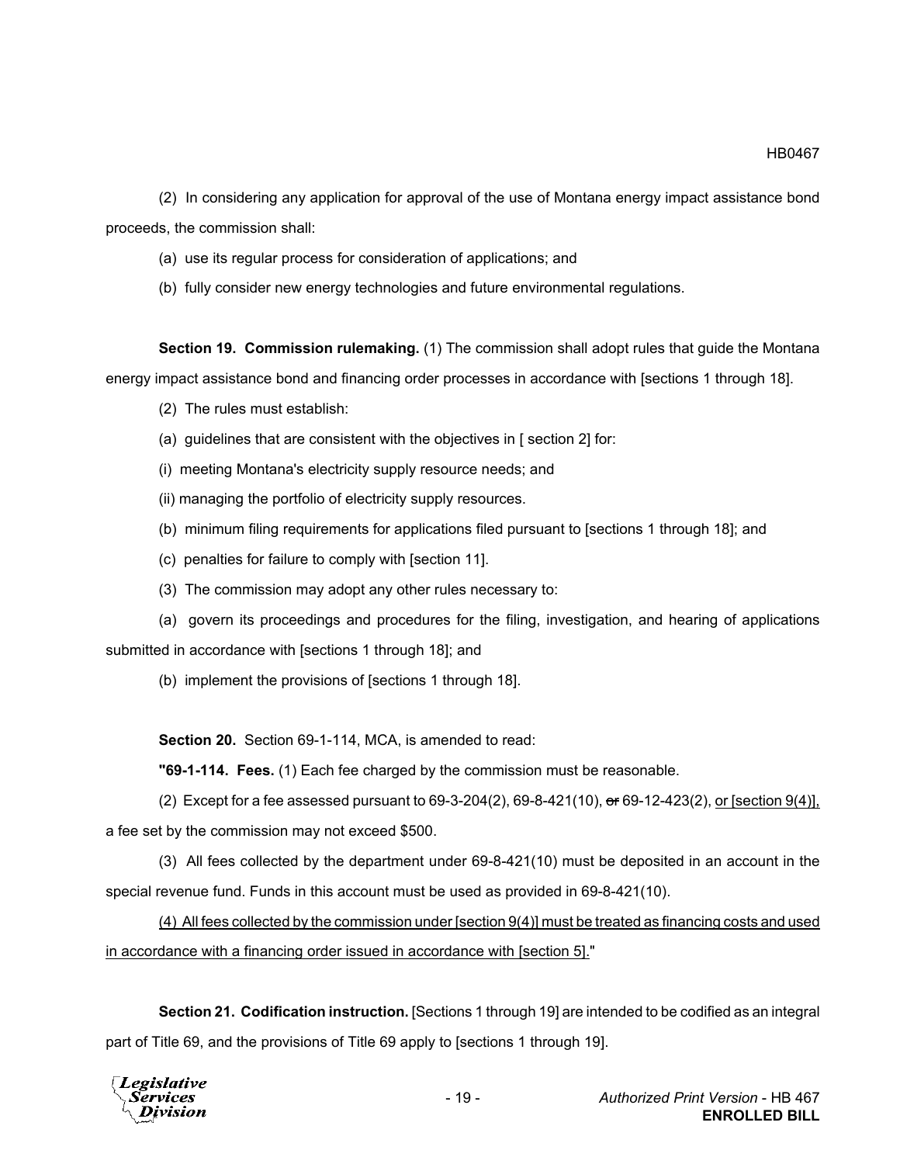(2) In considering any application for approval of the use of Montana energy impact assistance bond proceeds, the commission shall:

- (a) use its regular process for consideration of applications; and
- (b) fully consider new energy technologies and future environmental regulations.

**Section 19. Commission rulemaking.** (1) The commission shall adopt rules that guide the Montana energy impact assistance bond and financing order processes in accordance with [sections 1 through 18].

- (2) The rules must establish:
- (a) guidelines that are consistent with the objectives in [ section 2] for:
- (i) meeting Montana's electricity supply resource needs; and
- (ii) managing the portfolio of electricity supply resources.
- (b) minimum filing requirements for applications filed pursuant to [sections 1 through 18]; and
- (c) penalties for failure to comply with [section 11].
- (3) The commission may adopt any other rules necessary to:

(a) govern its proceedings and procedures for the filing, investigation, and hearing of applications submitted in accordance with [sections 1 through 18]; and

(b) implement the provisions of [sections 1 through 18].

**Section 20.** Section 69-1-114, MCA, is amended to read:

**"69-1-114. Fees.** (1) Each fee charged by the commission must be reasonable.

(2) Except for a fee assessed pursuant to 69-3-204(2), 69-8-421(10), or 69-12-423(2), or [section 9(4)], a fee set by the commission may not exceed \$500.

(3) All fees collected by the department under 69-8-421(10) must be deposited in an account in the special revenue fund. Funds in this account must be used as provided in 69-8-421(10).

(4) All fees collected by the commission under [section 9(4)] must be treated as financing costs and used in accordance with a financing order issued in accordance with [section 5]."

**Section 21. Codification instruction.** [Sections 1 through 19] are intended to be codified as an integral part of Title 69, and the provisions of Title 69 apply to [sections 1 through 19].

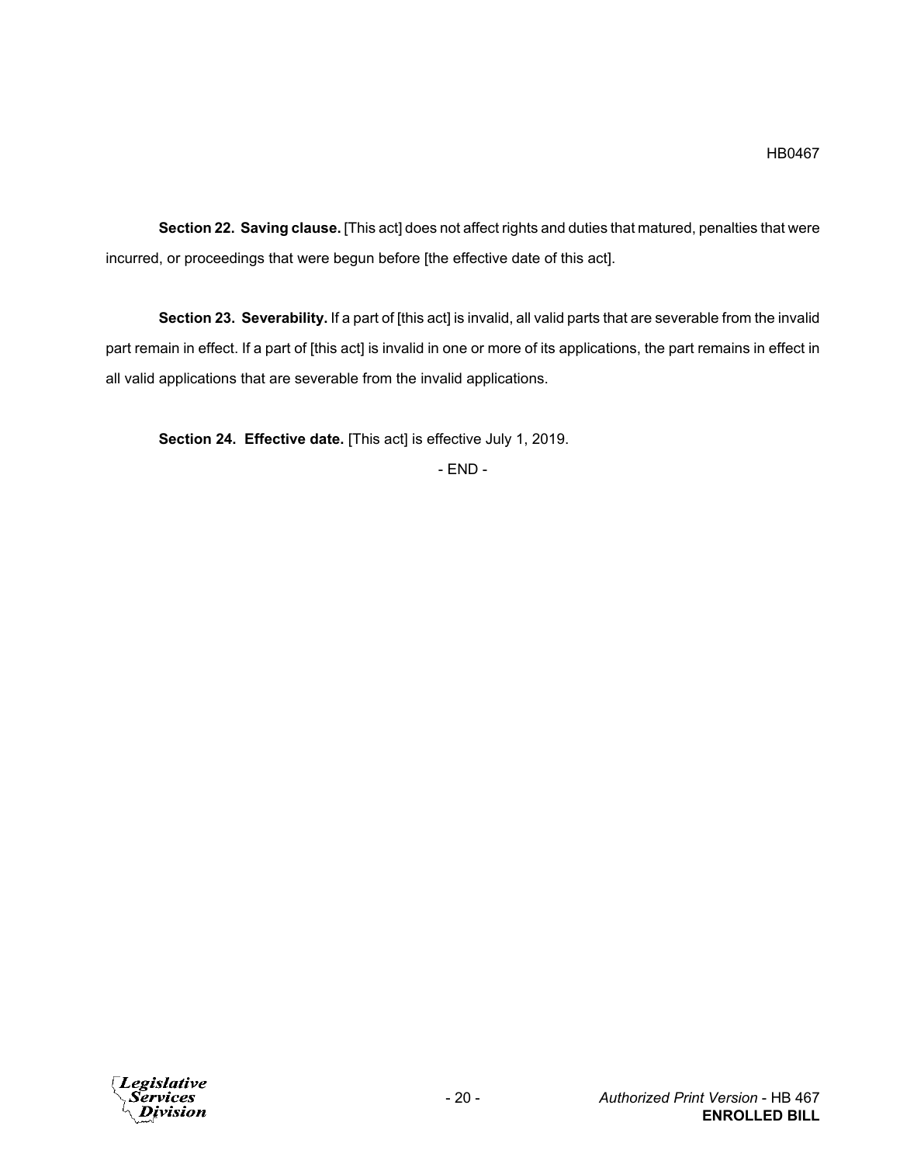**Section 22. Saving clause.** [This act] does not affect rights and duties that matured, penalties that were incurred, or proceedings that were begun before [the effective date of this act].

**Section 23. Severability.** If a part of [this act] is invalid, all valid parts that are severable from the invalid part remain in effect. If a part of [this act] is invalid in one or more of its applications, the part remains in effect in all valid applications that are severable from the invalid applications.

**Section 24. Effective date.** [This act] is effective July 1, 2019.

- END -

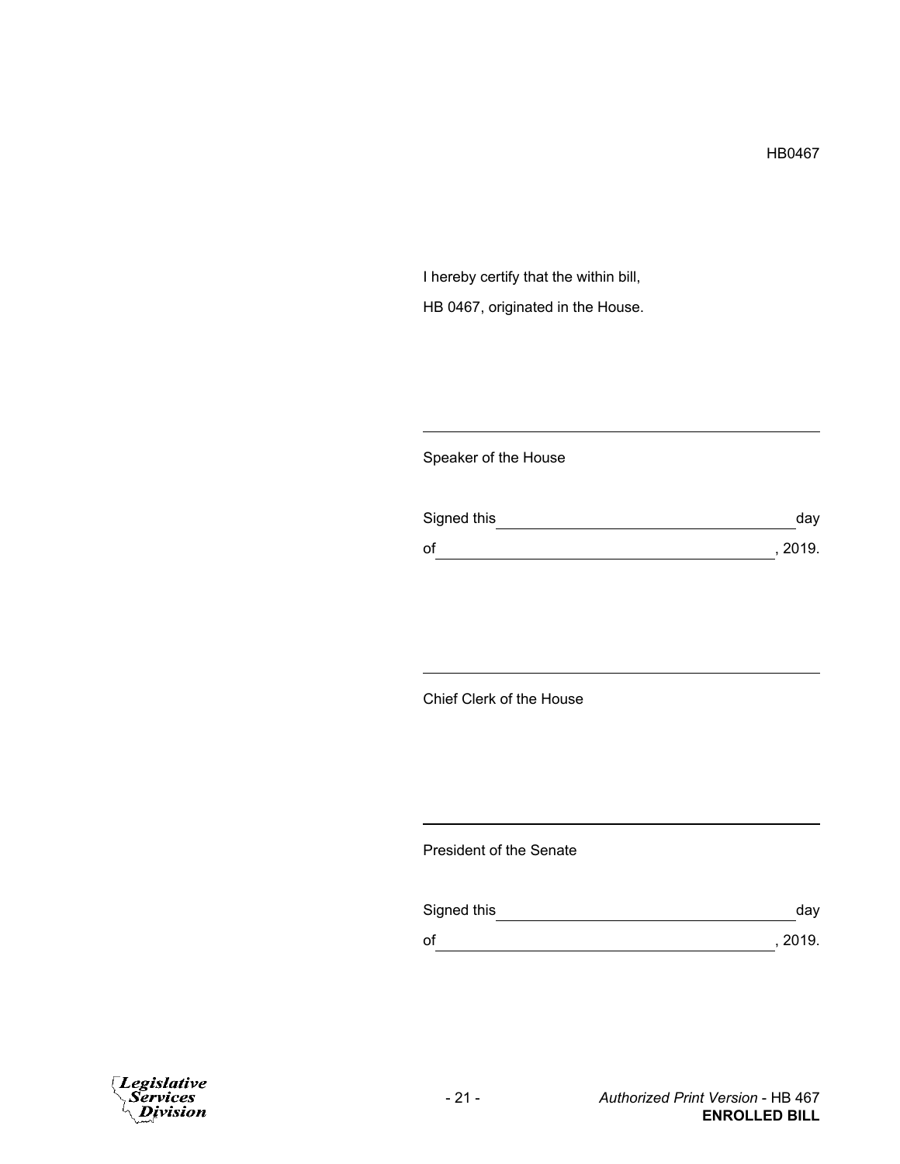I hereby certify that the within bill, HB 0467, originated in the House.

## Speaker of the House

| Signed this | day     |
|-------------|---------|
| of          | , 2019. |

# Chief Clerk of the House

### President of the Senate

| Signed this | day     |
|-------------|---------|
| of          | , 2019. |